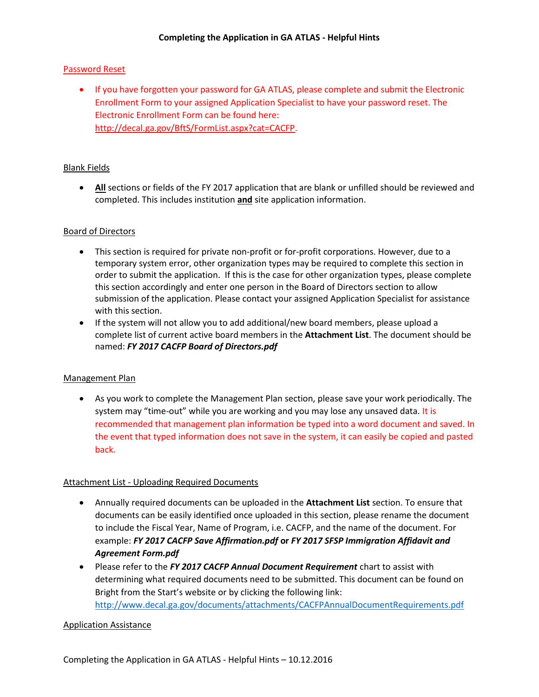# Password Reset

• If you have forgotten your password for GA ATLAS, please complete and submit the Electronic Enrollment Form to your assigned Application Specialist to have your password reset. The Electronic Enrollment Form can be found here: [http://decal.ga.gov/BftS/FormList.aspx?cat=CACFP.](http://decal.ga.gov/BftS/FormList.aspx?cat=CACFP)

# Blank Fields

 **All** sections or fields of the FY 2017 application that are blank or unfilled should be reviewed and completed. This includes institution **and** site application information.

## Board of Directors

- This section is required for private non-profit or for-profit corporations. However, due to a temporary system error, other organization types may be required to complete this section in order to submit the application. If this is the case for other organization types, please complete this section accordingly and enter one person in the Board of Directors section to allow submission of the application. Please contact your assigned Application Specialist for assistance with this section.
- If the system will not allow you to add additional/new board members, please upload a complete list of current active board members in the **Attachment List**. The document should be named: *FY 2017 CACFP Board of Directors.pdf*

## Management Plan

 As you work to complete the Management Plan section, please save your work periodically. The system may "time-out" while you are working and you may lose any unsaved data. It is recommended that management plan information be typed into a word document and saved. In the event that typed information does not save in the system, it can easily be copied and pasted back.

## Attachment List - Uploading Required Documents

- Annually required documents can be uploaded in the **Attachment List** section. To ensure that documents can be easily identified once uploaded in this section, please rename the document to include the Fiscal Year, Name of Program, i.e. CACFP, and the name of the document. For example: *FY 2017 CACFP Save Affirmation.pdf* **or** *FY 2017 SFSP Immigration Affidavit and Agreement Form.pdf*
- Please refer to the *FY 2017 CACFP Annual Document Requirement* chart to assist with determining what required documents need to be submitted. This document can be found on Bright from the Start's website or by clicking the following link: <http://www.decal.ga.gov/documents/attachments/CACFPAnnualDocumentRequirements.pdf>

## Application Assistance